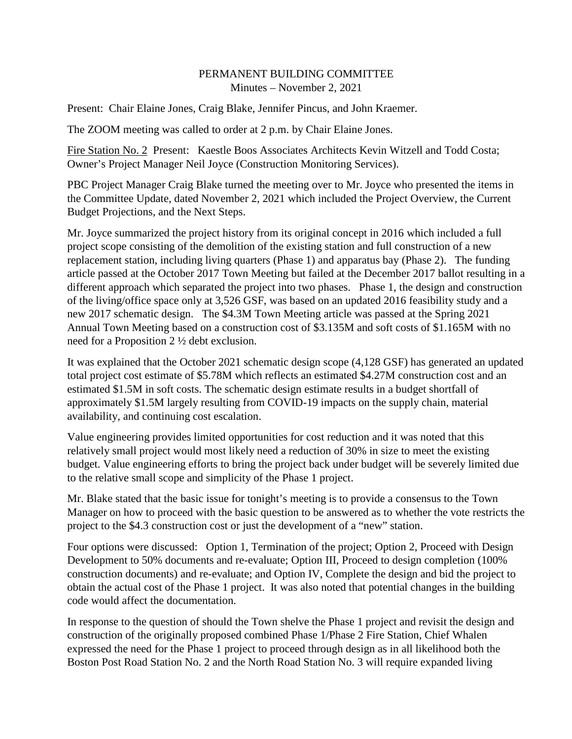## PERMANENT BUILDING COMMITTEE Minutes – November 2, 2021

Present: Chair Elaine Jones, Craig Blake, Jennifer Pincus, and John Kraemer.

The ZOOM meeting was called to order at 2 p.m. by Chair Elaine Jones.

Fire Station No. 2 Present: Kaestle Boos Associates Architects Kevin Witzell and Todd Costa; Owner's Project Manager Neil Joyce (Construction Monitoring Services).

PBC Project Manager Craig Blake turned the meeting over to Mr. Joyce who presented the items in the Committee Update, dated November 2, 2021 which included the Project Overview, the Current Budget Projections, and the Next Steps.

Mr. Joyce summarized the project history from its original concept in 2016 which included a full project scope consisting of the demolition of the existing station and full construction of a new replacement station, including living quarters (Phase 1) and apparatus bay (Phase 2). The funding article passed at the October 2017 Town Meeting but failed at the December 2017 ballot resulting in a different approach which separated the project into two phases. Phase 1, the design and construction of the living/office space only at 3,526 GSF, was based on an updated 2016 feasibility study and a new 2017 schematic design. The \$4.3M Town Meeting article was passed at the Spring 2021 Annual Town Meeting based on a construction cost of \$3.135M and soft costs of \$1.165M with no need for a Proposition 2 ½ debt exclusion.

It was explained that the October 2021 schematic design scope (4,128 GSF) has generated an updated total project cost estimate of \$5.78M which reflects an estimated \$4.27M construction cost and an estimated \$1.5M in soft costs. The schematic design estimate results in a budget shortfall of approximately \$1.5M largely resulting from COVID-19 impacts on the supply chain, material availability, and continuing cost escalation.

Value engineering provides limited opportunities for cost reduction and it was noted that this relatively small project would most likely need a reduction of 30% in size to meet the existing budget. Value engineering efforts to bring the project back under budget will be severely limited due to the relative small scope and simplicity of the Phase 1 project.

Mr. Blake stated that the basic issue for tonight's meeting is to provide a consensus to the Town Manager on how to proceed with the basic question to be answered as to whether the vote restricts the project to the \$4.3 construction cost or just the development of a "new" station.

Four options were discussed: Option 1, Termination of the project; Option 2, Proceed with Design Development to 50% documents and re-evaluate; Option III, Proceed to design completion (100% construction documents) and re-evaluate; and Option IV, Complete the design and bid the project to obtain the actual cost of the Phase 1 project. It was also noted that potential changes in the building code would affect the documentation.

In response to the question of should the Town shelve the Phase 1 project and revisit the design and construction of the originally proposed combined Phase 1/Phase 2 Fire Station, Chief Whalen expressed the need for the Phase 1 project to proceed through design as in all likelihood both the Boston Post Road Station No. 2 and the North Road Station No. 3 will require expanded living